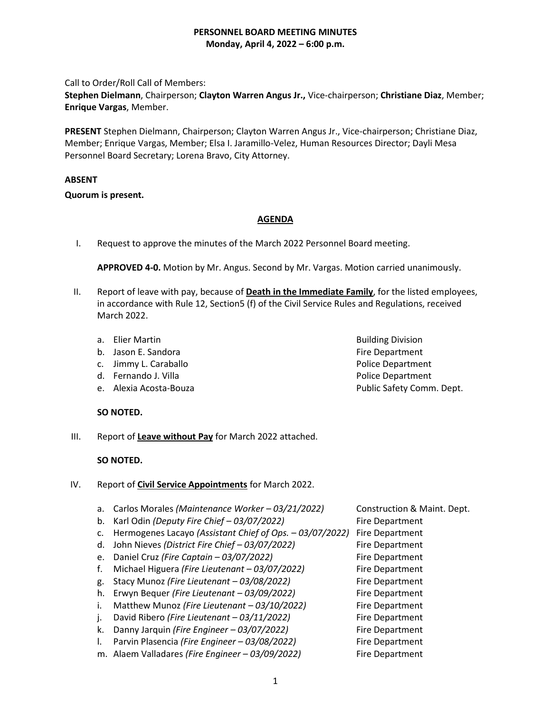Call to Order/Roll Call of Members:

**Stephen Dielmann**, Chairperson; **Clayton Warren Angus Jr.,** Vice-chairperson; **Christiane Diaz**, Member; **Enrique Vargas**, Member.

**PRESENT** Stephen Dielmann, Chairperson; Clayton Warren Angus Jr., Vice-chairperson; Christiane Diaz, Member; Enrique Vargas, Member; Elsa I. Jaramillo-Velez, Human Resources Director; Dayli Mesa Personnel Board Secretary; Lorena Bravo, City Attorney.

# **ABSENT**

# **Quorum is present.**

# **AGENDA**

I. Request to approve the minutes of the March 2022 Personnel Board meeting.

**APPROVED 4-0.** Motion by Mr. Angus. Second by Mr. Vargas. Motion carried unanimously.

- II. Report of leave with pay, because of **Death in the Immediate Family**, for the listed employees, in accordance with Rule 12, Section5 (f) of the Civil Service Rules and Regulations, received March 2022.
	- a. Elier Martin **Building Division** Building Division
	- b. Jason E. Sandora Fire Department
	- c. Jimmy L. Caraballo **Police Department**
	- d. Fernando J. Villa **Police Department**
	-
	- **SO NOTED.**
- III. Report of **Leave without Pay** for March 2022 attached.

# **SO NOTED.**

- IV. Report of **Civil Service Appointments** for March 2022.
	- a. Carlos Morales *(Maintenance Worker – 03/21/2022)* Construction & Maint. Dept.
	- b. Karl Odin *(Deputy Fire Chief – 03/07/2022)* Fire Department
	- c. Hermogenes Lacayo *(Assistant Chief of Ops. – 03/07/2022)* Fire Department
	- d. John Nieves *(District Fire Chief – 03/07/2022)* Fire Department
	- e. Daniel Cruz *(Fire Captain – 03/07/2022)* Fire Department
	- f. Michael Higuera *(Fire Lieutenant – 03/07/2022)* Fire Department
	- g. Stacy Munoz *(Fire Lieutenant – 03/08/2022)* Fire Department
	- h. Erwyn Bequer *(Fire Lieutenant – 03/09/2022)* Fire Department
	- i. Matthew Munoz *(Fire Lieutenant – 03/10/2022)* Fire Department
	- j. David Ribero *(Fire Lieutenant – 03/11/2022)* Fire Department
	- k. Danny Jarquin *(Fire Engineer – 03/07/2022)* Fire Department
	- l. Parvin Plasencia *(Fire Engineer – 03/08/2022)* Fire Department
	- m. Alaem Valladares *(Fire Engineer – 03/09/2022)* Fire Department

e. Alexia Acosta-Bouza Public Safety Comm. Dept.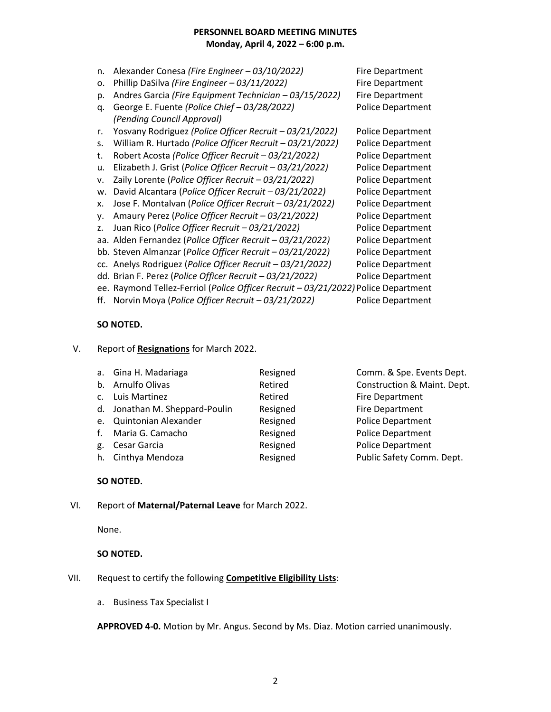| n. | Alexander Conesa (Fire Engineer - 03/10/2022)                                      | <b>Fire Department</b>   |
|----|------------------------------------------------------------------------------------|--------------------------|
| о. | Phillip DaSilva (Fire Engineer - 03/11/2022)                                       | <b>Fire Department</b>   |
| p. | Andres Garcia (Fire Equipment Technician - 03/15/2022)                             | <b>Fire Department</b>   |
| q. | George E. Fuente (Police Chief - 03/28/2022)                                       | <b>Police Department</b> |
|    | (Pending Council Approval)                                                         |                          |
| r. | Yosvany Rodriguez (Police Officer Recruit - 03/21/2022)                            | Police Department        |
| s. | William R. Hurtado (Police Officer Recruit - 03/21/2022)                           | Police Department        |
| t. | Robert Acosta (Police Officer Recruit - 03/21/2022)                                | <b>Police Department</b> |
| u. | Elizabeth J. Grist (Police Officer Recruit - 03/21/2022)                           | Police Department        |
| v. | Zaily Lorente (Police Officer Recruit - 03/21/2022)                                | Police Department        |
| w. | David Alcantara (Police Officer Recruit - 03/21/2022)                              | <b>Police Department</b> |
| x. | Jose F. Montalvan (Police Officer Recruit - 03/21/2022)                            | <b>Police Department</b> |
| ۷. | Amaury Perez (Police Officer Recruit - 03/21/2022)                                 | Police Department        |
| z. | Juan Rico (Police Officer Recruit - 03/21/2022)                                    | Police Department        |
|    | aa. Alden Fernandez (Police Officer Recruit - 03/21/2022)                          | <b>Police Department</b> |
|    | bb. Steven Almanzar (Police Officer Recruit - 03/21/2022)                          | Police Department        |
|    | cc. Anelys Rodriguez (Police Officer Recruit - 03/21/2022)                         | <b>Police Department</b> |
|    | dd. Brian F. Perez (Police Officer Recruit - 03/21/2022)                           | <b>Police Department</b> |
|    | ee. Raymond Tellez-Ferriol (Police Officer Recruit - 03/21/2022) Police Department |                          |
|    | ff. Norvin Moya (Police Officer Recruit - 03/21/2022)                              | <b>Police Department</b> |

## **SO NOTED.**

V. Report of **Resignations** for March 2022.

|    | a. Gina H. Madariaga           | Resigned | Comm. & Spe. Events Dept.   |
|----|--------------------------------|----------|-----------------------------|
|    | b. Arnulfo Olivas              | Retired  | Construction & Maint. Dept. |
|    | c. Luis Martinez               | Retired  | Fire Department             |
|    | d. Jonathan M. Sheppard-Poulin | Resigned | Fire Department             |
|    | e. Quintonian Alexander        | Resigned | <b>Police Department</b>    |
|    | f. Maria G. Camacho            | Resigned | <b>Police Department</b>    |
| g. | Cesar Garcia                   | Resigned | <b>Police Department</b>    |
|    | h. Cinthya Mendoza             | Resigned | Public Safety Comm. Dept.   |

## **SO NOTED.**

#### VI. Report of **Maternal/Paternal Leave** for March 2022.

None.

#### **SO NOTED.**

# VII. Request to certify the following **Competitive Eligibility Lists**:

a. Business Tax Specialist I

**APPROVED 4-0.** Motion by Mr. Angus. Second by Ms. Diaz. Motion carried unanimously.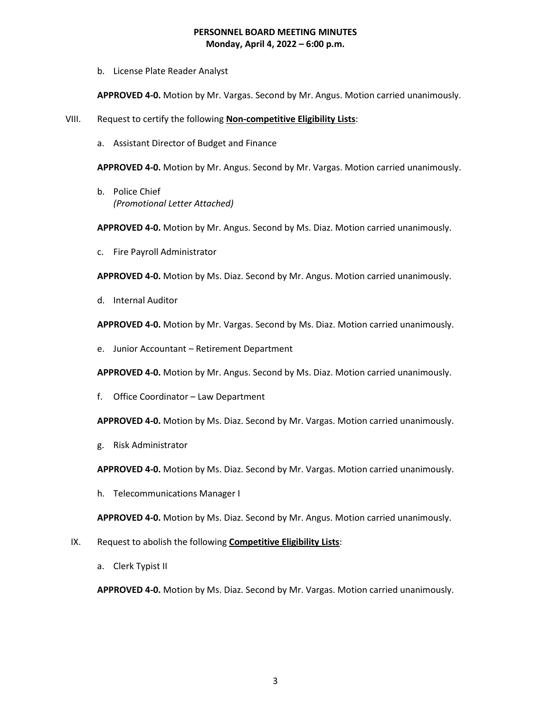b. License Plate Reader Analyst

**APPROVED 4-0.** Motion by Mr. Vargas. Second by Mr. Angus. Motion carried unanimously.

- VIII. Request to certify the following **Non-competitive Eligibility Lists**:
	- a. Assistant Director of Budget and Finance

**APPROVED 4-0.** Motion by Mr. Angus. Second by Mr. Vargas. Motion carried unanimously.

b. Police Chief *(Promotional Letter Attached)*

**APPROVED 4-0.** Motion by Mr. Angus. Second by Ms. Diaz. Motion carried unanimously.

c. Fire Payroll Administrator

**APPROVED 4-0.** Motion by Ms. Diaz. Second by Mr. Angus. Motion carried unanimously.

d. Internal Auditor

**APPROVED 4-0.** Motion by Mr. Vargas. Second by Ms. Diaz. Motion carried unanimously.

e. Junior Accountant – Retirement Department

**APPROVED 4-0.** Motion by Mr. Angus. Second by Ms. Diaz. Motion carried unanimously.

f. Office Coordinator – Law Department

**APPROVED 4-0.** Motion by Ms. Diaz. Second by Mr. Vargas. Motion carried unanimously.

g. Risk Administrator

**APPROVED 4-0.** Motion by Ms. Diaz. Second by Mr. Vargas. Motion carried unanimously.

h. Telecommunications Manager I

**APPROVED 4-0.** Motion by Ms. Diaz. Second by Mr. Angus. Motion carried unanimously.

- IX. Request to abolish the following **Competitive Eligibility Lists**:
	- a. Clerk Typist II

**APPROVED 4-0.** Motion by Ms. Diaz. Second by Mr. Vargas. Motion carried unanimously.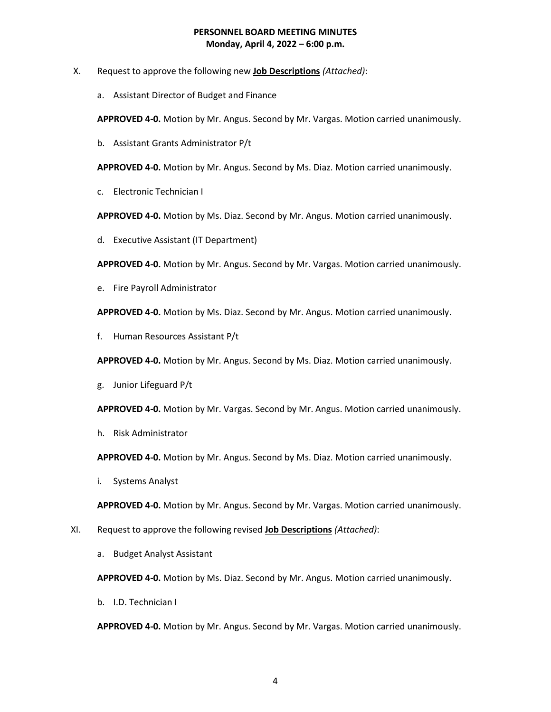- X. Request to approve the following new **Job Descriptions** *(Attached)*:
	- a. Assistant Director of Budget and Finance

**APPROVED 4-0.** Motion by Mr. Angus. Second by Mr. Vargas. Motion carried unanimously.

b. Assistant Grants Administrator P/t

**APPROVED 4-0.** Motion by Mr. Angus. Second by Ms. Diaz. Motion carried unanimously.

c. Electronic Technician I

**APPROVED 4-0.** Motion by Ms. Diaz. Second by Mr. Angus. Motion carried unanimously.

d. Executive Assistant (IT Department)

**APPROVED 4-0.** Motion by Mr. Angus. Second by Mr. Vargas. Motion carried unanimously.

e. Fire Payroll Administrator

**APPROVED 4-0.** Motion by Ms. Diaz. Second by Mr. Angus. Motion carried unanimously.

f. Human Resources Assistant P/t

**APPROVED 4-0.** Motion by Mr. Angus. Second by Ms. Diaz. Motion carried unanimously.

g. Junior Lifeguard P/t

**APPROVED 4-0.** Motion by Mr. Vargas. Second by Mr. Angus. Motion carried unanimously.

h. Risk Administrator

**APPROVED 4-0.** Motion by Mr. Angus. Second by Ms. Diaz. Motion carried unanimously.

i. Systems Analyst

**APPROVED 4-0.** Motion by Mr. Angus. Second by Mr. Vargas. Motion carried unanimously.

- XI. Request to approve the following revised **Job Descriptions** *(Attached)*:
	- a. Budget Analyst Assistant

**APPROVED 4-0.** Motion by Ms. Diaz. Second by Mr. Angus. Motion carried unanimously.

b. I.D. Technician I

**APPROVED 4-0.** Motion by Mr. Angus. Second by Mr. Vargas. Motion carried unanimously.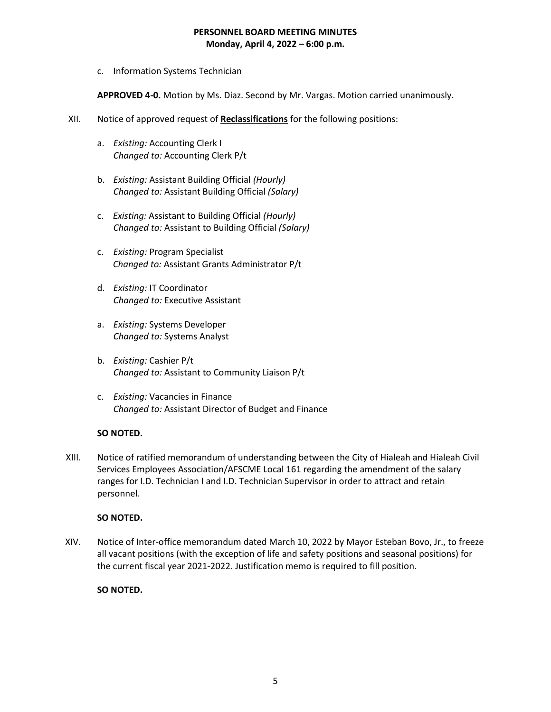c. Information Systems Technician

**APPROVED 4-0.** Motion by Ms. Diaz. Second by Mr. Vargas. Motion carried unanimously.

- XII. Notice of approved request of **Reclassifications** for the following positions:
	- a. *Existing:* Accounting Clerk I *Changed to:* Accounting Clerk P/t
	- b. *Existing:* Assistant Building Official *(Hourly) Changed to:* Assistant Building Official *(Salary)*
	- c. *Existing:* Assistant to Building Official *(Hourly) Changed to:* Assistant to Building Official *(Salary)*
	- c. *Existing:* Program Specialist *Changed to:* Assistant Grants Administrator P/t
	- d. *Existing:* IT Coordinator *Changed to:* Executive Assistant
	- a. *Existing:* Systems Developer *Changed to:* Systems Analyst
	- b. *Existing:* Cashier P/t *Changed to:* Assistant to Community Liaison P/t
	- c. *Existing:* Vacancies in Finance *Changed to:* Assistant Director of Budget and Finance

## **SO NOTED.**

XIII. Notice of ratified memorandum of understanding between the City of Hialeah and Hialeah Civil Services Employees Association/AFSCME Local 161 regarding the amendment of the salary ranges for I.D. Technician I and I.D. Technician Supervisor in order to attract and retain personnel.

## **SO NOTED.**

XIV. Notice of Inter-office memorandum dated March 10, 2022 by Mayor Esteban Bovo, Jr., to freeze all vacant positions (with the exception of life and safety positions and seasonal positions) for the current fiscal year 2021-2022. Justification memo is required to fill position.

## **SO NOTED.**